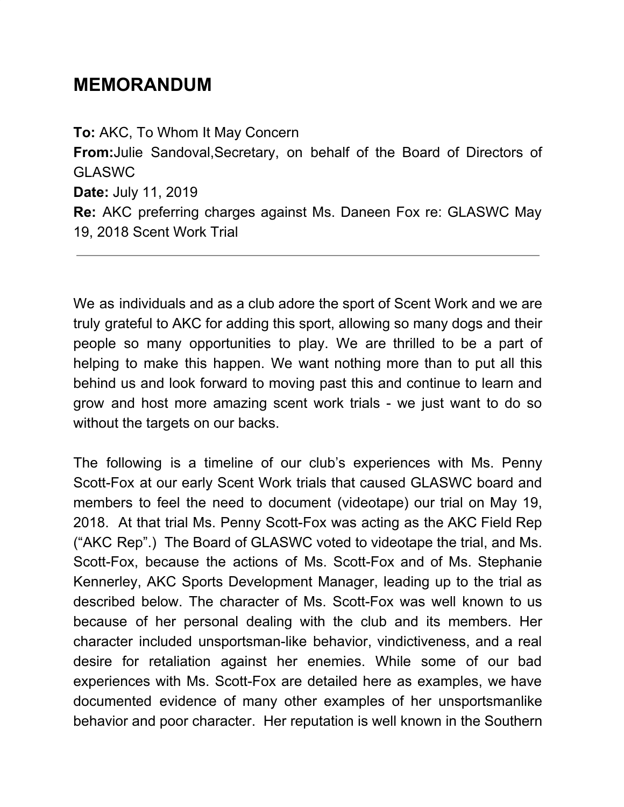# **MEMORANDUM**

**To:** AKC, To Whom It May Concern **From:**Julie Sandoval,Secretary, on behalf of the Board of Directors of GLASWC **Date:** July 11, 2019 **Re:** AKC preferring charges against Ms. Daneen Fox re: GLASWC May 19, 2018 Scent Work Trial

We as individuals and as a club adore the sport of Scent Work and we are truly grateful to AKC for adding this sport, allowing so many dogs and their people so many opportunities to play. We are thrilled to be a part of helping to make this happen. We want nothing more than to put all this behind us and look forward to moving past this and continue to learn and grow and host more amazing scent work trials - we just want to do so without the targets on our backs.

The following is a timeline of our club's experiences with Ms. Penny Scott-Fox at our early Scent Work trials that caused GLASWC board and members to feel the need to document (videotape) our trial on May 19, 2018. At that trial Ms. Penny Scott-Fox was acting as the AKC Field Rep ("AKC Rep".) The Board of GLASWC voted to videotape the trial, and Ms. Scott-Fox, because the actions of Ms. Scott-Fox and of Ms. Stephanie Kennerley, AKC Sports Development Manager, leading up to the trial as described below. The character of Ms. Scott-Fox was well known to us because of her personal dealing with the club and its members. Her character included unsportsman-like behavior, vindictiveness, and a real desire for retaliation against her enemies. While some of our bad experiences with Ms. Scott-Fox are detailed here as examples, we have documented evidence of many other examples of her unsportsmanlike behavior and poor character. Her reputation is well known in the Southern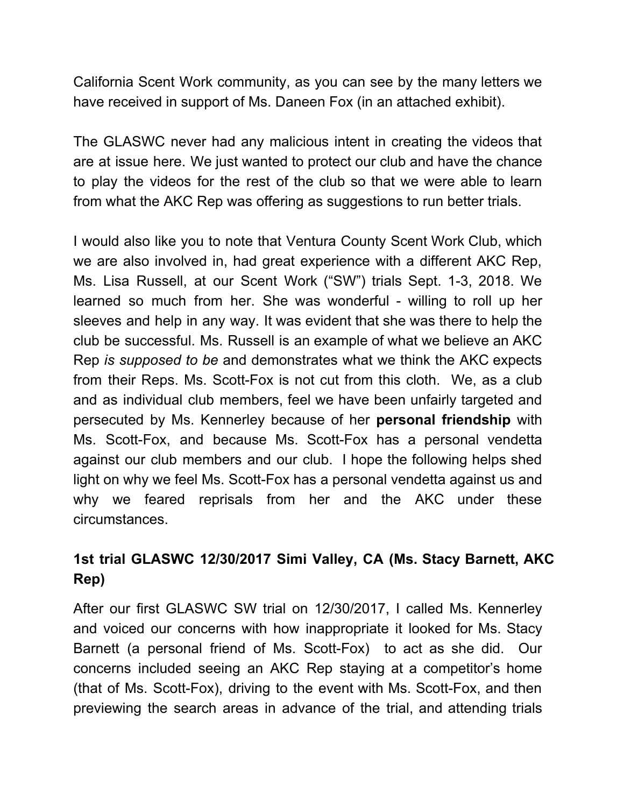California Scent Work community, as you can see by the many letters we have received in support of Ms. Daneen Fox (in an attached exhibit).

The GLASWC never had any malicious intent in creating the videos that are at issue here. We just wanted to protect our club and have the chance to play the videos for the rest of the club so that we were able to learn from what the AKC Rep was offering as suggestions to run better trials.

I would also like you to note that Ventura County Scent Work Club, which we are also involved in, had great experience with a different AKC Rep, Ms. Lisa Russell, at our Scent Work ("SW") trials Sept. 1-3, 2018. We learned so much from her. She was wonderful - willing to roll up her sleeves and help in any way. It was evident that she was there to help the club be successful. Ms. Russell is an example of what we believe an AKC Rep *is supposed to be* and demonstrates what we think the AKC expects from their Reps. Ms. Scott-Fox is not cut from this cloth. We, as a club and as individual club members, feel we have been unfairly targeted and persecuted by Ms. Kennerley because of her **personal friendship** with Ms. Scott-Fox, and because Ms. Scott-Fox has a personal vendetta against our club members and our club. I hope the following helps shed light on why we feel Ms. Scott-Fox has a personal vendetta against us and why we feared reprisals from her and the AKC under these circumstances.

## **1st trial GLASWC 12/30/2017 Simi Valley, CA (Ms. Stacy Barnett, AKC Rep)**

After our first GLASWC SW trial on 12/30/2017, I called Ms. Kennerley and voiced our concerns with how inappropriate it looked for Ms. Stacy Barnett (a personal friend of Ms. Scott-Fox) to act as she did. Our concerns included seeing an AKC Rep staying at a competitor's home (that of Ms. Scott-Fox), driving to the event with Ms. Scott-Fox, and then previewing the search areas in advance of the trial, and attending trials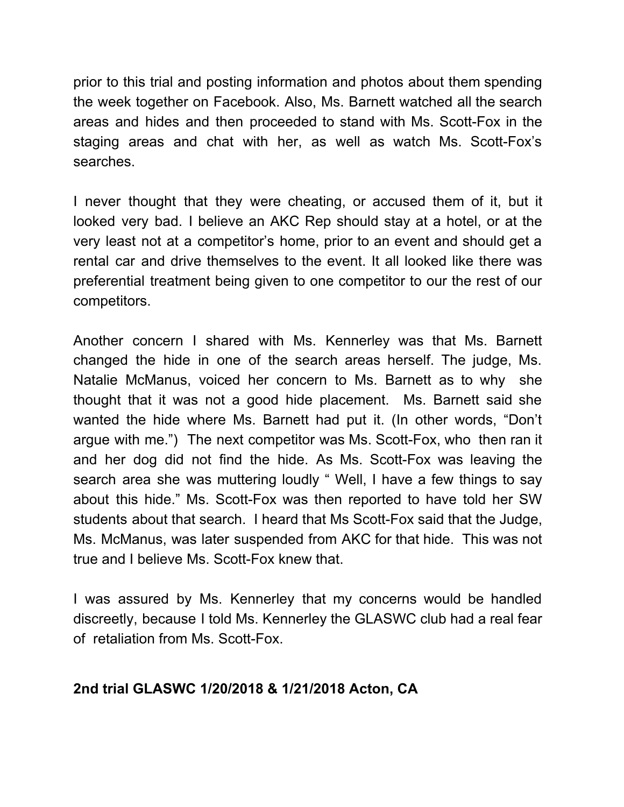prior to this trial and posting information and photos about them spending the week together on Facebook. Also, Ms. Barnett watched all the search areas and hides and then proceeded to stand with Ms. Scott-Fox in the staging areas and chat with her, as well as watch Ms. Scott-Fox's searches.

I never thought that they were cheating, or accused them of it, but it looked very bad. I believe an AKC Rep should stay at a hotel, or at the very least not at a competitor's home, prior to an event and should get a rental car and drive themselves to the event. It all looked like there was preferential treatment being given to one competitor to our the rest of our competitors.

Another concern I shared with Ms. Kennerley was that Ms. Barnett changed the hide in one of the search areas herself. The judge, Ms. Natalie McManus, voiced her concern to Ms. Barnett as to why she thought that it was not a good hide placement. Ms. Barnett said she wanted the hide where Ms. Barnett had put it. (In other words, "Don't argue with me.") The next competitor was Ms. Scott-Fox, who then ran it and her dog did not find the hide. As Ms. Scott-Fox was leaving the search area she was muttering loudly " Well, I have a few things to say about this hide." Ms. Scott-Fox was then reported to have told her SW students about that search. I heard that Ms Scott-Fox said that the Judge, Ms. McManus, was later suspended from AKC for that hide. This was not true and I believe Ms. Scott-Fox knew that.

I was assured by Ms. Kennerley that my concerns would be handled discreetly, because I told Ms. Kennerley the GLASWC club had a real fear of retaliation from Ms. Scott-Fox.

#### **2nd trial GLASWC 1/20/2018 & 1/21/2018 Acton, CA**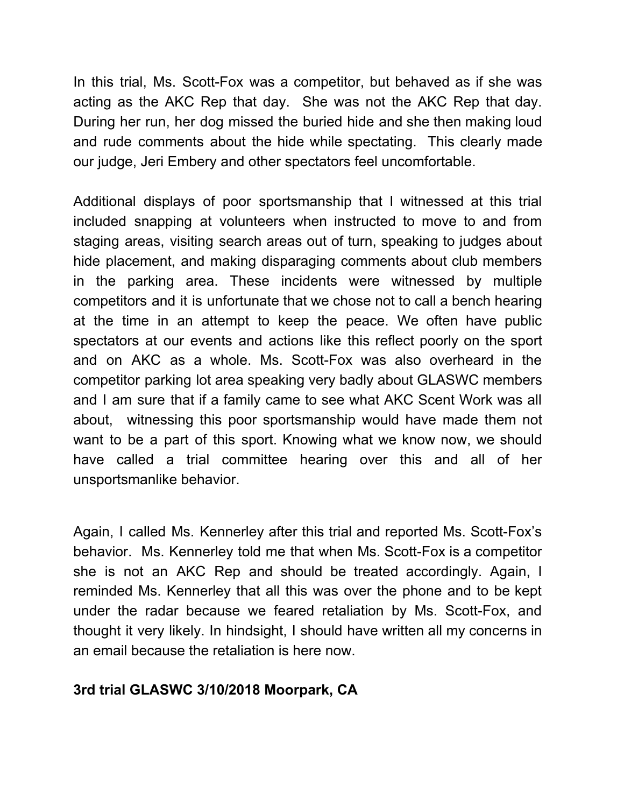In this trial, Ms. Scott-Fox was a competitor, but behaved as if she was acting as the AKC Rep that day. She was not the AKC Rep that day. During her run, her dog missed the buried hide and she then making loud and rude comments about the hide while spectating. This clearly made our judge, Jeri Embery and other spectators feel uncomfortable.

Additional displays of poor sportsmanship that I witnessed at this trial included snapping at volunteers when instructed to move to and from staging areas, visiting search areas out of turn, speaking to judges about hide placement, and making disparaging comments about club members in the parking area. These incidents were witnessed by multiple competitors and it is unfortunate that we chose not to call a bench hearing at the time in an attempt to keep the peace. We often have public spectators at our events and actions like this reflect poorly on the sport and on AKC as a whole. Ms. Scott-Fox was also overheard in the competitor parking lot area speaking very badly about GLASWC members and I am sure that if a family came to see what AKC Scent Work was all about, witnessing this poor sportsmanship would have made them not want to be a part of this sport. Knowing what we know now, we should have called a trial committee hearing over this and all of her unsportsmanlike behavior.

Again, I called Ms. Kennerley after this trial and reported Ms. Scott-Fox's behavior. Ms. Kennerley told me that when Ms. Scott-Fox is a competitor she is not an AKC Rep and should be treated accordingly. Again, I reminded Ms. Kennerley that all this was over the phone and to be kept under the radar because we feared retaliation by Ms. Scott-Fox, and thought it very likely. In hindsight, I should have written all my concerns in an email because the retaliation is here now.

#### **3rd trial GLASWC 3/10/2018 Moorpark, CA**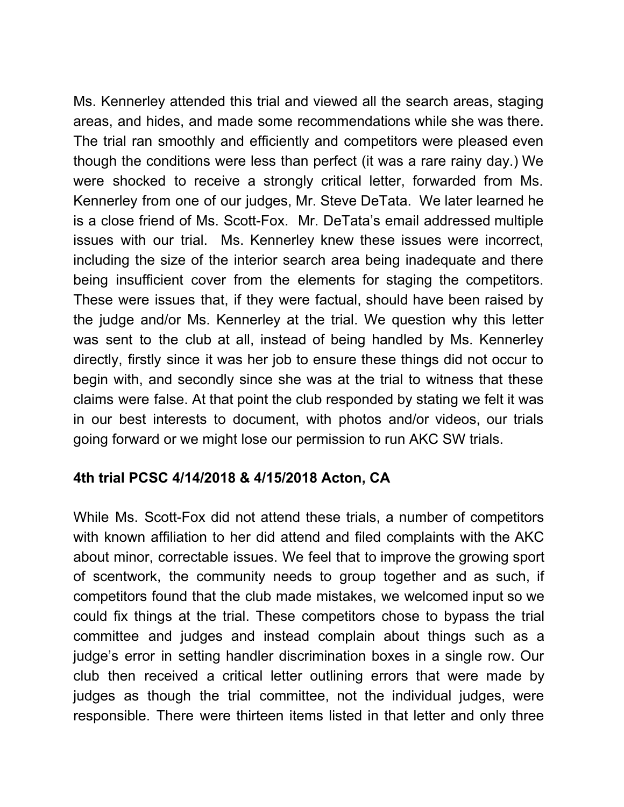Ms. Kennerley attended this trial and viewed all the search areas, staging areas, and hides, and made some recommendations while she was there. The trial ran smoothly and efficiently and competitors were pleased even though the conditions were less than perfect (it was a rare rainy day.) We were shocked to receive a strongly critical letter, forwarded from Ms. Kennerley from one of our judges, Mr. Steve DeTata. We later learned he is a close friend of Ms. Scott-Fox. Mr. DeTata's email addressed multiple issues with our trial. Ms. Kennerley knew these issues were incorrect, including the size of the interior search area being inadequate and there being insufficient cover from the elements for staging the competitors. These were issues that, if they were factual, should have been raised by the judge and/or Ms. Kennerley at the trial. We question why this letter was sent to the club at all, instead of being handled by Ms. Kennerley directly, firstly since it was her job to ensure these things did not occur to begin with, and secondly since she was at the trial to witness that these claims were false. At that point the club responded by stating we felt it was in our best interests to document, with photos and/or videos, our trials going forward or we might lose our permission to run AKC SW trials.

#### **4th trial PCSC 4/14/2018 & 4/15/2018 Acton, CA**

While Ms. Scott-Fox did not attend these trials, a number of competitors with known affiliation to her did attend and filed complaints with the AKC about minor, correctable issues. We feel that to improve the growing sport of scentwork, the community needs to group together and as such, if competitors found that the club made mistakes, we welcomed input so we could fix things at the trial. These competitors chose to bypass the trial committee and judges and instead complain about things such as a judge's error in setting handler discrimination boxes in a single row. Our club then received a critical letter outlining errors that were made by judges as though the trial committee, not the individual judges, were responsible. There were thirteen items listed in that letter and only three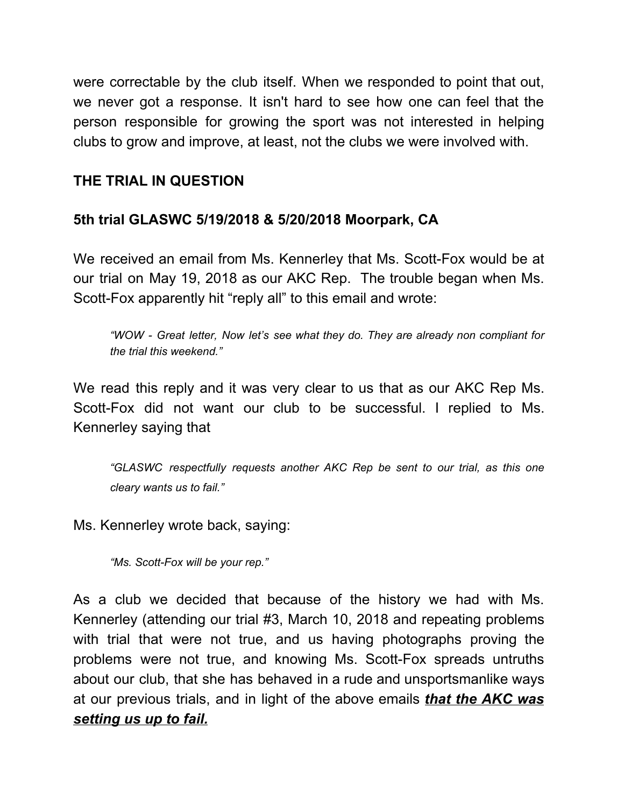were correctable by the club itself. When we responded to point that out, we never got a response. It isn't hard to see how one can feel that the person responsible for growing the sport was not interested in helping clubs to grow and improve, at least, not the clubs we were involved with.

## **THE TRIAL IN QUESTION**

### **5th trial GLASWC 5/19/2018 & 5/20/2018 Moorpark, CA**

We received an email from Ms. Kennerley that Ms. Scott-Fox would be at our trial on May 19, 2018 as our AKC Rep. The trouble began when Ms. Scott-Fox apparently hit "reply all" to this email and wrote:

*"WOW - Great letter, Now let's see what they do. They are already non compliant for the trial this weekend."*

We read this reply and it was very clear to us that as our AKC Rep Ms. Scott-Fox did not want our club to be successful. I replied to Ms. Kennerley saying that

*"GLASWC respectfully requests another AKC Rep be sent to our trial, as this one cleary wants us to fail."*

Ms. Kennerley wrote back, saying:

*"Ms. Scott-Fox will be your rep."*

As a club we decided that because of the history we had with Ms. Kennerley (attending our trial #3, March 10, 2018 and repeating problems with trial that were not true, and us having photographs proving the problems were not true, and knowing Ms. Scott-Fox spreads untruths about our club, that she has behaved in a rude and unsportsmanlike ways at our previous trials, and in light of the above emails *that the AKC was setting us up to fail.*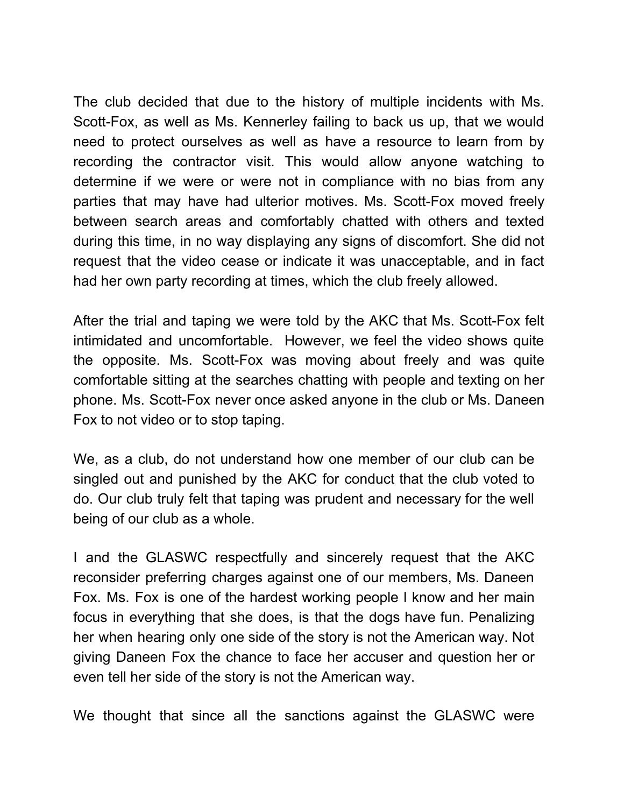The club decided that due to the history of multiple incidents with Ms. Scott-Fox, as well as Ms. Kennerley failing to back us up, that we would need to protect ourselves as well as have a resource to learn from by recording the contractor visit. This would allow anyone watching to determine if we were or were not in compliance with no bias from any parties that may have had ulterior motives. Ms. Scott-Fox moved freely between search areas and comfortably chatted with others and texted during this time, in no way displaying any signs of discomfort. She did not request that the video cease or indicate it was unacceptable, and in fact had her own party recording at times, which the club freely allowed.

After the trial and taping we were told by the AKC that Ms. Scott-Fox felt intimidated and uncomfortable. However, we feel the video shows quite the opposite. Ms. Scott-Fox was moving about freely and was quite comfortable sitting at the searches chatting with people and texting on her phone. Ms. Scott-Fox never once asked anyone in the club or Ms. Daneen Fox to not video or to stop taping.

We, as a club, do not understand how one member of our club can be singled out and punished by the AKC for conduct that the club voted to do. Our club truly felt that taping was prudent and necessary for the well being of our club as a whole.

I and the GLASWC respectfully and sincerely request that the AKC reconsider preferring charges against one of our members, Ms. Daneen Fox. Ms. Fox is one of the hardest working people I know and her main focus in everything that she does, is that the dogs have fun. Penalizing her when hearing only one side of the story is not the American way. Not giving Daneen Fox the chance to face her accuser and question her or even tell her side of the story is not the American way.

We thought that since all the sanctions against the GLASWC were